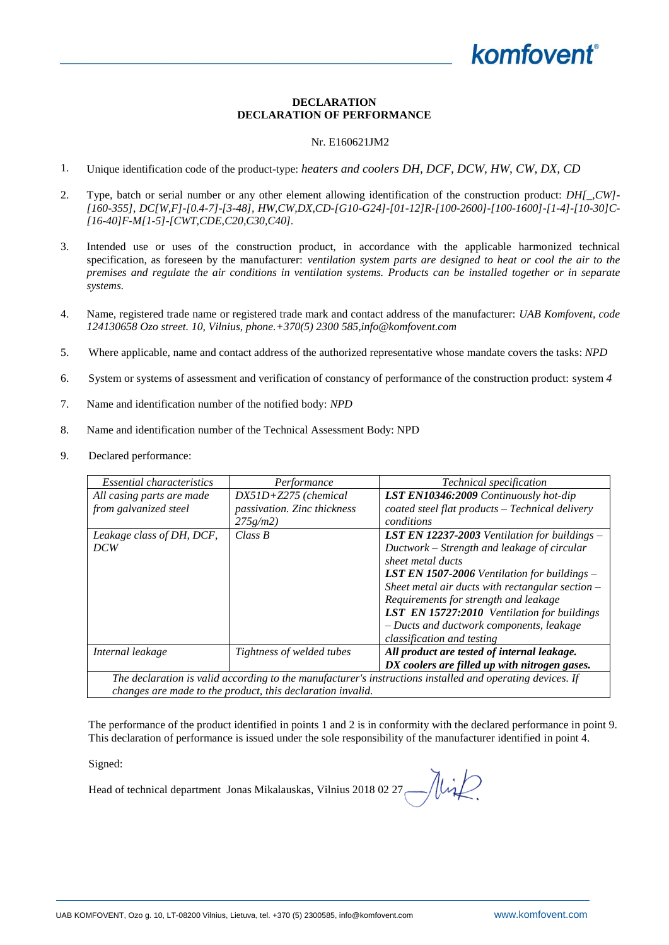## **DECLARATION DECLARATION OF PERFORMANCE**

## Nr. E160621JM2

- 1. Unique identification code of the product-type: *heaters and coolers DH, DCF, DCW, HW, CW, DX, CD*
- 2. Type, batch or serial number or any other element allowing identification of the construction product: *DH[\_,CW]- [160-355], DC[W,F]-[0.4-7]-[3-48], HW,CW,DX,CD-[G10-G24]-[01-12]R-[100-2600]-[100-1600]-[1-4]-[10-30]C- [16-40]F-M[1-5]-[CWT,CDE,C20,C30,C40].*
- 3. Intended use or uses of the construction product, in accordance with the applicable harmonized technical specification, as foreseen by the manufacturer: *ventilation system parts are designed to heat or cool the air to the premises and regulate the air conditions in ventilation systems. Products can be installed together or in separate systems.*
- 4. Name, registered trade name or registered trade mark and contact address of the manufacturer: *UAB Komfovent, code 124130658 Ozo street. 10, Vilnius, phone.+370(5) 2300 585,info@komfovent.com*
- 5. Where applicable, name and contact address of the authorized representative whose mandate covers the tasks: *NPD*
- 6. System or systems of assessment and verification of constancy of performance of the construction product: system *4*
- 7. Name and identification number of the notified body: *NPD*
- 8. Name and identification number of the Technical Assessment Body: NPD
- 9. Declared performance:

| <i>Essential characteristics</i>                                                                          | Performance                 | Technical specification                                |  |
|-----------------------------------------------------------------------------------------------------------|-----------------------------|--------------------------------------------------------|--|
| All casing parts are made                                                                                 | $DX51D+Z275$ (chemical      | <b>LST EN10346:2009</b> Continuously hot-dip           |  |
| from galvanized steel                                                                                     | passivation. Zinc thickness | coated steel flat products - Technical delivery        |  |
|                                                                                                           | $275g/m2$ )                 | conditions                                             |  |
| Leakage class of DH, DCF,                                                                                 | Class B                     | <b>LST EN 12237-2003</b> Ventilation for buildings $-$ |  |
| DCW                                                                                                       |                             | Ductwork – Strength and leakage of circular            |  |
|                                                                                                           |                             | sheet metal ducts                                      |  |
|                                                                                                           |                             | <b>LST EN 1507-2006</b> Ventilation for buildings $-$  |  |
|                                                                                                           |                             | Sheet metal air ducts with rectangular section $-$     |  |
|                                                                                                           |                             | Requirements for strength and leakage                  |  |
|                                                                                                           |                             | LST EN 15727:2010 Ventilation for buildings            |  |
|                                                                                                           |                             | - Ducts and ductwork components, leakage               |  |
|                                                                                                           |                             | classification and testing                             |  |
| Internal leakage                                                                                          | Tightness of welded tubes   | All product are tested of internal leakage.            |  |
|                                                                                                           |                             | DX coolers are filled up with nitrogen gases.          |  |
| The declaration is valid according to the manufacturer's instructions installed and operating devices. If |                             |                                                        |  |
| changes are made to the product, this declaration invalid.                                                |                             |                                                        |  |

The performance of the product identified in points 1 and 2 is in conformity with the declared performance in point 9. This declaration of performance is issued under the sole responsibility of the manufacturer identified in point 4.

Signed:

Head of technical department Jonas Mikalauskas, Vilnius 2018 02 27